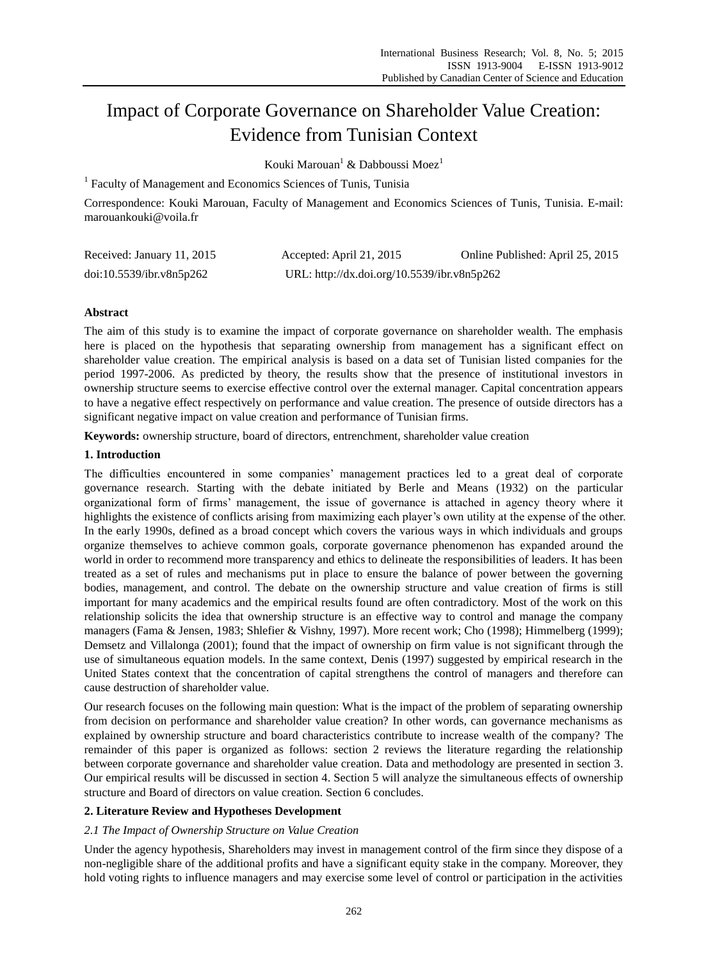# Impact of Corporate Governance on Shareholder Value Creation: Evidence from Tunisian Context

Kouki Marouan<sup>1</sup> & Dabboussi Moez<sup>1</sup>

<sup>1</sup> Faculty of Management and Economics Sciences of Tunis, Tunisia

Correspondence: Kouki Marouan, Faculty of Management and Economics Sciences of Tunis, Tunisia. E-mail: marouankouki@voila.fr

| Received: January 11, 2015 | Accepted: April 21, 2015                    | Online Published: April 25, 2015 |
|----------------------------|---------------------------------------------|----------------------------------|
| doi:10.5539/ibr.v8n5p262   | URL: http://dx.doi.org/10.5539/ibr.v8n5p262 |                                  |

# **Abstract**

The aim of this study is to examine the impact of corporate governance on shareholder wealth. The emphasis here is placed on the hypothesis that separating ownership from management has a significant effect on shareholder value creation. The empirical analysis is based on a data set of Tunisian listed companies for the period 1997-2006. As predicted by theory, the results show that the presence of institutional investors in ownership structure seems to exercise effective control over the external manager. Capital concentration appears to have a negative effect respectively on performance and value creation. The presence of outside directors has a significant negative impact on value creation and performance of Tunisian firms.

**Keywords:** ownership structure, board of directors, entrenchment, shareholder value creation

# **1. Introduction**

The difficulties encountered in some companies' management practices led to a great deal of corporate governance research. Starting with the debate initiated by Berle and Means (1932) on the particular organizational form of firms' management, the issue of governance is attached in agency theory where it highlights the existence of conflicts arising from maximizing each player's own utility at the expense of the other. In the early 1990s, defined as a broad concept which covers the various ways in which individuals and groups organize themselves to achieve common goals, corporate governance phenomenon has expanded around the world in order to recommend more transparency and ethics to delineate the responsibilities of leaders. It has been treated as a set of rules and mechanisms put in place to ensure the balance of power between the governing bodies, management, and control. The debate on the ownership structure and value creation of firms is still important for many academics and the empirical results found are often contradictory. Most of the work on this relationship solicits the idea that ownership structure is an effective way to control and manage the company managers (Fama & Jensen, 1983; Shlefier & Vishny, 1997). More recent work; Cho (1998); Himmelberg (1999); Demsetz and Villalonga (2001); found that the impact of ownership on firm value is not significant through the use of simultaneous equation models. In the same context, Denis (1997) suggested by empirical research in the United States context that the concentration of capital strengthens the control of managers and therefore can cause destruction of shareholder value.

Our research focuses on the following main question: What is the impact of the problem of separating ownership from decision on performance and shareholder value creation? In other words, can governance mechanisms as explained by ownership structure and board characteristics contribute to increase wealth of the company? The remainder of this paper is organized as follows: section 2 reviews the literature regarding the relationship between corporate governance and shareholder value creation. Data and methodology are presented in section 3. Our empirical results will be discussed in section 4. Section 5 will analyze the simultaneous effects of ownership structure and Board of directors on value creation. Section 6 concludes.

#### **2. Literature Review and Hypotheses Development**

#### *2.1 The Impact of Ownership Structure on Value Creation*

Under the agency hypothesis, Shareholders may invest in management control of the firm since they dispose of a non-negligible share of the additional profits and have a significant equity stake in the company. Moreover, they hold voting rights to influence managers and may exercise some level of control or participation in the activities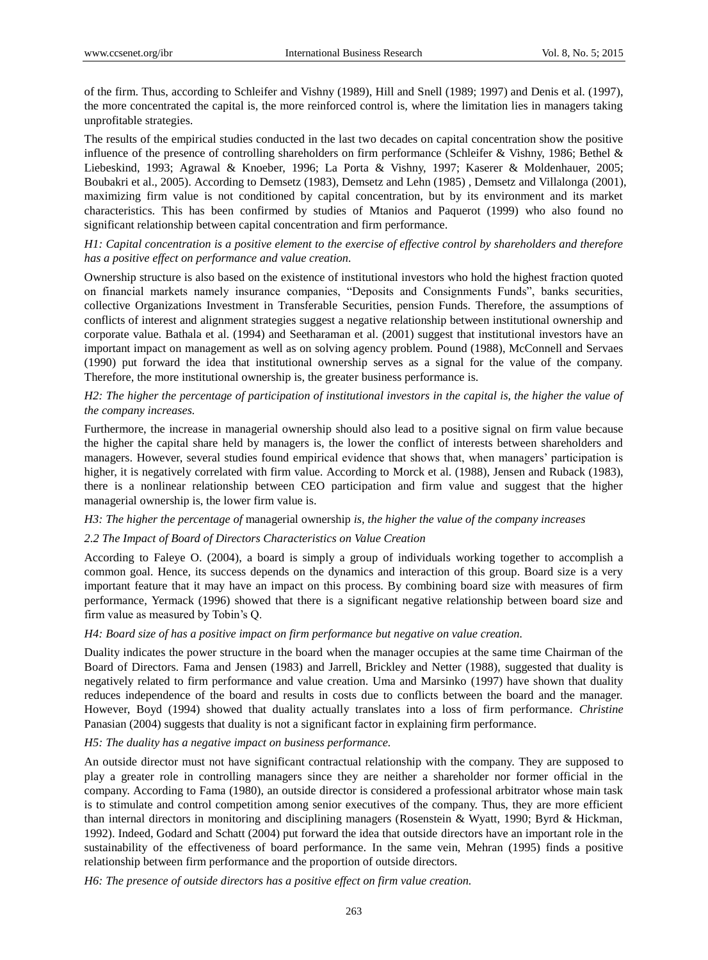of the firm. Thus, according to Schleifer and Vishny (1989), Hill and Snell (1989; 1997) and Denis et al. (1997), the more concentrated the capital is, the more reinforced control is, where the limitation lies in managers taking unprofitable strategies.

The results of the empirical studies conducted in the last two decades on capital concentration show the positive influence of the presence of controlling shareholders on firm performance (Schleifer & Vishny, 1986; Bethel & Liebeskind, 1993; Agrawal & Knoeber, 1996; La Porta & Vishny, 1997; Kaserer & Moldenhauer, 2005; Boubakri et al., 2005). According to Demsetz (1983), Demsetz and Lehn (1985) , Demsetz and Villalonga (2001), maximizing firm value is not conditioned by capital concentration, but by its environment and its market characteristics. This has been confirmed by studies of Mtanios and Paquerot (1999) who also found no significant relationship between capital concentration and firm performance.

## *H1: Capital concentration is a positive element to the exercise of effective control by shareholders and therefore has a positive effect on performance and value creation.*

Ownership structure is also based on the existence of institutional investors who hold the highest fraction quoted on financial markets namely insurance companies, "Deposits and Consignments Funds", banks securities, collective Organizations Investment in Transferable Securities, pension Funds. Therefore, the assumptions of conflicts of interest and alignment strategies suggest a negative relationship between institutional ownership and corporate value. Bathala et al. (1994) and Seetharaman et al. (2001) suggest that institutional investors have an important impact on management as well as on solving agency problem. Pound (1988), McConnell and Servaes (1990) put forward the idea that institutional ownership serves as a signal for the value of the company. Therefore, the more institutional ownership is, the greater business performance is.

#### *H2: The higher the percentage of participation of institutional investors in the capital is, the higher the value of the company increases.*

Furthermore, the increase in managerial ownership should also lead to a positive signal on firm value because the higher the capital share held by managers is, the lower the conflict of interests between shareholders and managers. However, several studies found empirical evidence that shows that, when managers' participation is higher, it is negatively correlated with firm value. According to Morck et al. (1988), Jensen and Ruback (1983), there is a nonlinear relationship between CEO participation and firm value and suggest that the higher managerial ownership is, the lower firm value is.

# *H3: The higher the percentage of* managerial ownership *is, the higher the value of the company increases*

#### *2.2 The Impact of Board of Directors Characteristics on Value Creation*

According to Faleye O. (2004), a board is simply a group of individuals working together to accomplish a common goal. Hence, its success depends on the dynamics and interaction of this group. Board size is a very important feature that it may have an impact on this process. By combining board size with measures of firm performance, Yermack (1996) showed that there is a significant negative relationship between board size and firm value as measured by Tobin's Q.

#### *H4: Board size of has a positive impact on firm performance but negative on value creation.*

Duality indicates the power structure in the board when the manager occupies at the same time Chairman of the Board of Directors. Fama and Jensen (1983) and Jarrell, Brickley and Netter (1988), suggested that duality is negatively related to firm performance and value creation. Uma and Marsinko (1997) have shown that duality reduces independence of the board and results in costs due to conflicts between the board and the manager. However, Boyd (1994) showed that duality actually translates into a loss of firm performance. *Christine*  Panasian (2004) suggests that duality is not a significant factor in explaining firm performance.

#### *H5: The duality has a negative impact on business performance.*

An outside director must not have significant contractual relationship with the company. They are supposed to play a greater role in controlling managers since they are neither a shareholder nor former official in the company. According to Fama (1980), an outside director is considered a professional arbitrator whose main task is to stimulate and control competition among senior executives of the company. Thus, they are more efficient than internal directors in monitoring and disciplining managers (Rosenstein & Wyatt, 1990; Byrd & Hickman, 1992). Indeed, Godard and Schatt (2004) put forward the idea that outside directors have an important role in the sustainability of the effectiveness of board performance. In the same vein, Mehran (1995) finds a positive relationship between firm performance and the proportion of outside directors.

*H6: The presence of outside directors has a positive effect on firm value creation.*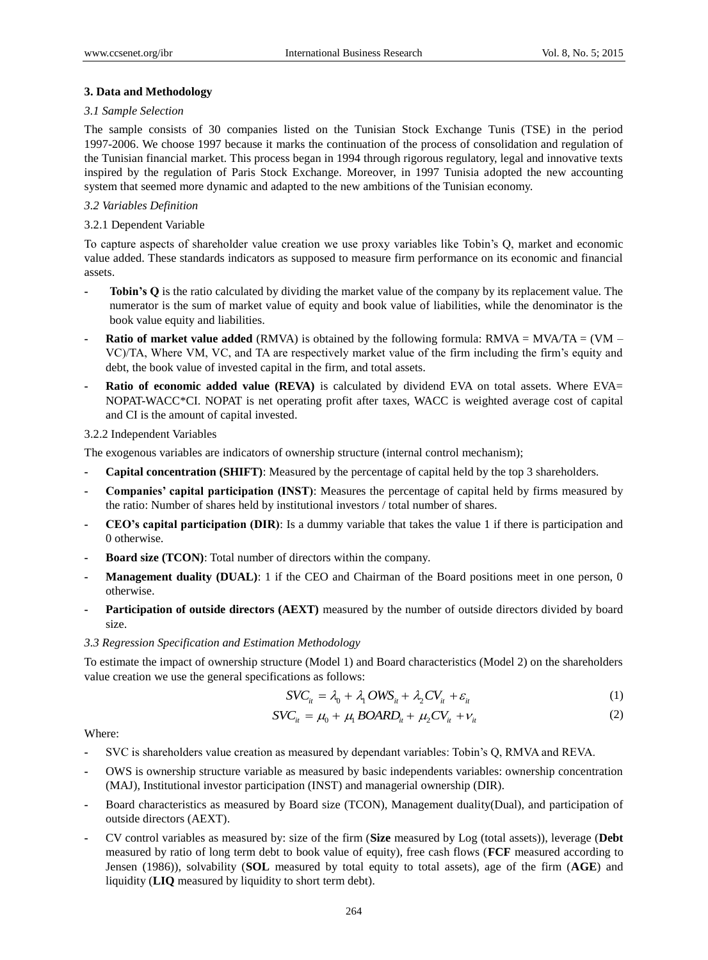#### **3. Data and Methodology**

#### *3.1 Sample Selection*

The sample consists of 30 companies listed on the Tunisian Stock Exchange Tunis (TSE) in the period 1997-2006. We choose 1997 because it marks the continuation of the process of consolidation and regulation of the Tunisian financial market. This process began in 1994 through rigorous regulatory, legal and innovative texts inspired by the regulation of Paris Stock Exchange. Moreover, in 1997 Tunisia adopted the new accounting system that seemed more dynamic and adapted to the new ambitions of the Tunisian economy.

# *3.2 Variables Definition*

# 3.2.1 Dependent Variable

To capture aspects of shareholder value creation we use proxy variables like Tobin's Q, market and economic value added. These standards indicators as supposed to measure firm performance on its economic and financial assets.

- **- Tobin's Q** is the ratio calculated by dividing the market value of the company by its replacement value. The numerator is the sum of market value of equity and book value of liabilities, while the denominator is the book value equity and liabilities.
- **Ratio of market value added** (RMVA) is obtained by the following formula: RMVA =  $MVA = WAA/TA$  = (VM VC)/TA, Where VM, VC, and TA are respectively market value of the firm including the firm's equity and debt, the book value of invested capital in the firm, and total assets.
- **- Ratio of economic added value (REVA)** is calculated by dividend EVA on total assets. Where EVA= NOPAT-WACC\*CI. NOPAT is net operating profit after taxes, WACC is weighted average cost of capital and CI is the amount of capital invested.

# 3.2.2 Independent Variables

The exogenous variables are indicators of ownership structure (internal control mechanism);

- **- Capital concentration (SHIFT)**: Measured by the percentage of capital held by the top 3 shareholders.
- **- Companies' capital participation (INST)**: Measures the percentage of capital held by firms measured by the ratio: Number of shares held by institutional investors / total number of shares.
- **- CEO's capital participation (DIR)**: Is a dummy variable that takes the value 1 if there is participation and 0 otherwise.
- **- Board size (TCON)**: Total number of directors within the company.
- **- Management duality (DUAL)**: 1 if the CEO and Chairman of the Board positions meet in one person, 0 otherwise.
- **- Participation of outside directors (AEXT)** measured by the number of outside directors divided by board size.

#### *3.3 Regression Specification and Estimation Methodology*

To estimate the impact of ownership structure (Model 1) and Board characteristics (Model 2) on the shareholders value creation we use the general specifications as follows:

ations as follows:  
\n
$$
SVC_{it} = \lambda_0 + \lambda_1 OWS_{it} + \lambda_2 CV_{it} + \varepsilon_{it}
$$
\n(1)

$$
SVC_{it} = \lambda_0 + \lambda_1 OWS_{it} + \lambda_2 CV_{it} + \varepsilon_{it}
$$
  
\n
$$
SVC_{it} = \mu_0 + \mu_1 BOARD_{it} + \mu_2 CV_{it} + \nu_{it}
$$
\n(1)

Where:

- **-** SVC is shareholders value creation as measured by dependant variables: Tobin's Q, RMVA and REVA.
- **-** OWS is ownership structure variable as measured by basic independents variables: ownership concentration (MAJ), Institutional investor participation (INST) and managerial ownership (DIR).
- **-** Board characteristics as measured by Board size (TCON), Management duality(Dual), and participation of outside directors (AEXT).
- **-** CV control variables as measured by: size of the firm (**Size** measured by Log (total assets)), leverage (**Debt** measured by ratio of long term debt to book value of equity), free cash flows (**FCF** measured according to Jensen (1986)), solvability (**SOL** measured by total equity to total assets), age of the firm (**AGE**) and liquidity (**LIQ** measured by liquidity to short term debt).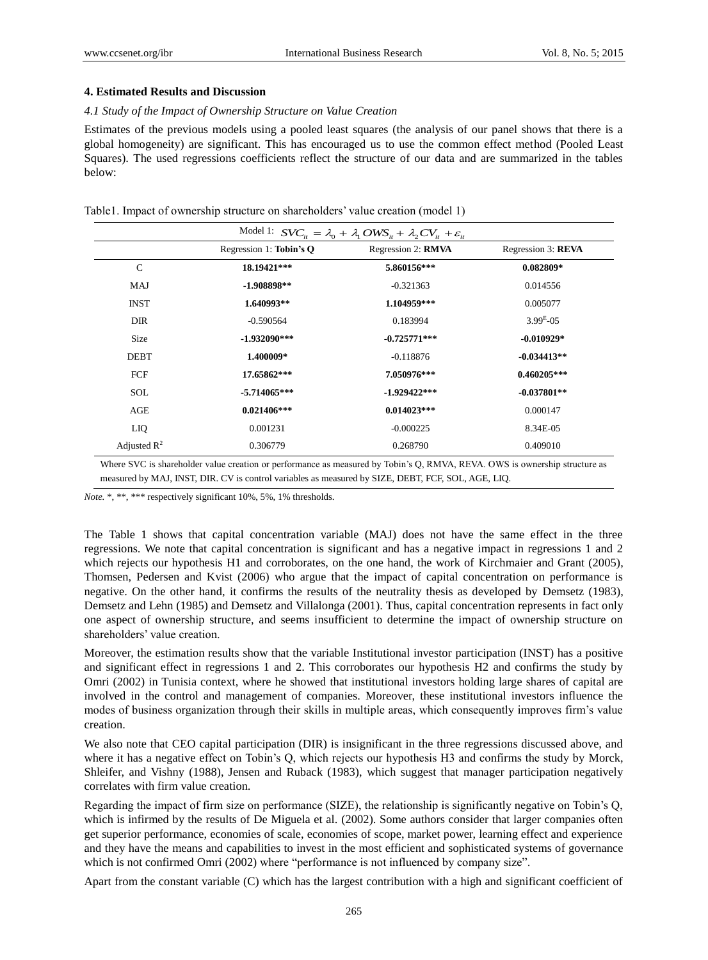#### **4. Estimated Results and Discussion**

#### *4.1 Study of the Impact of Ownership Structure on Value Creation*

Estimates of the previous models using a pooled least squares (the analysis of our panel shows that there is a global homogeneity) are significant. This has encouraged us to use the common effect method (Pooled Least Squares). The used regressions coefficients reflect the structure of our data and are summarized in the tables below:

| Table1. Impact of ownership structure on shareholders' value creation (model 1) |  |
|---------------------------------------------------------------------------------|--|
|---------------------------------------------------------------------------------|--|

| Model 1: $SVC_{it} = \lambda_0 + \lambda_1 OWS_{it} + \lambda_2 CV_{it} + \varepsilon_{it}$ |                         |                    |                    |  |  |
|---------------------------------------------------------------------------------------------|-------------------------|--------------------|--------------------|--|--|
|                                                                                             | Regression 1: Tobin's Q | Regression 2: RMVA | Regression 3: REVA |  |  |
| $\mathcal{C}$                                                                               | 18.19421***             | 5.860156***        | $0.082809*$        |  |  |
| MAJ                                                                                         | $-1.908898**$           | $-0.321363$        | 0.014556           |  |  |
| <b>INST</b>                                                                                 | 1.640993**              | 1.104959***        | 0.005077           |  |  |
| <b>DIR</b>                                                                                  | $-0.590564$             | 0.183994           | $3.99E - 0.5$      |  |  |
| Size                                                                                        | $-1.932090***$          | $-0.725771***$     | $-0.010929*$       |  |  |
| <b>DEBT</b>                                                                                 | 1.400009*               | $-0.118876$        | $-0.034413**$      |  |  |
| FCF                                                                                         | 17.65862***             | 7.050976***        | $0.460205***$      |  |  |
| SOL                                                                                         | $-5.714065***$          | $-1.929422***$     | $-0.037801**$      |  |  |
| AGE                                                                                         | $0.021406***$           | $0.014023***$      | 0.000147           |  |  |
| LIQ.                                                                                        | 0.001231                | $-0.000225$        | 8.34E-05           |  |  |
| Adjusted $\mathbb{R}^2$                                                                     | 0.306779                | 0.268790           | 0.409010           |  |  |

measured by MAJ, INST, DIR. CV is control variables as measured by SIZE, DEBT, FCF, SOL, AGE, LIQ.

*Note.* \*, \*\*, \*\*\* respectively significant 10%, 5%, 1% thresholds.

The Table 1 shows that capital concentration variable (MAJ) does not have the same effect in the three regressions. We note that capital concentration is significant and has a negative impact in regressions 1 and 2 which rejects our hypothesis H1 and corroborates, on the one hand, the work of Kirchmaier and Grant (2005), Thomsen, Pedersen and Kvist (2006) who argue that the impact of capital concentration on performance is negative. On the other hand, it confirms the results of the neutrality thesis as developed by Demsetz (1983), Demsetz and Lehn (1985) and Demsetz and Villalonga (2001). Thus, capital concentration represents in fact only one aspect of ownership structure, and seems insufficient to determine the impact of ownership structure on shareholders' value creation.

Moreover, the estimation results show that the variable Institutional investor participation (INST) has a positive and significant effect in regressions 1 and 2. This corroborates our hypothesis H2 and confirms the study by Omri (2002) in Tunisia context, where he showed that institutional investors holding large shares of capital are involved in the control and management of companies. Moreover, these institutional investors influence the modes of business organization through their skills in multiple areas, which consequently improves firm's value creation.

We also note that CEO capital participation (DIR) is insignificant in the three regressions discussed above, and where it has a negative effect on Tobin's Q, which rejects our hypothesis H3 and confirms the study by Morck, Shleifer, and Vishny (1988), Jensen and Ruback (1983), which suggest that manager participation negatively correlates with firm value creation.

Regarding the impact of firm size on performance (SIZE), the relationship is significantly negative on Tobin's Q, which is infirmed by the results of De Miguela et al. (2002). Some authors consider that larger companies often get superior performance, economies of scale, economies of scope, market power, learning effect and experience and they have the means and capabilities to invest in the most efficient and sophisticated systems of governance which is not confirmed Omri (2002) where "performance is not influenced by company size".

Apart from the constant variable (C) which has the largest contribution with a high and significant coefficient of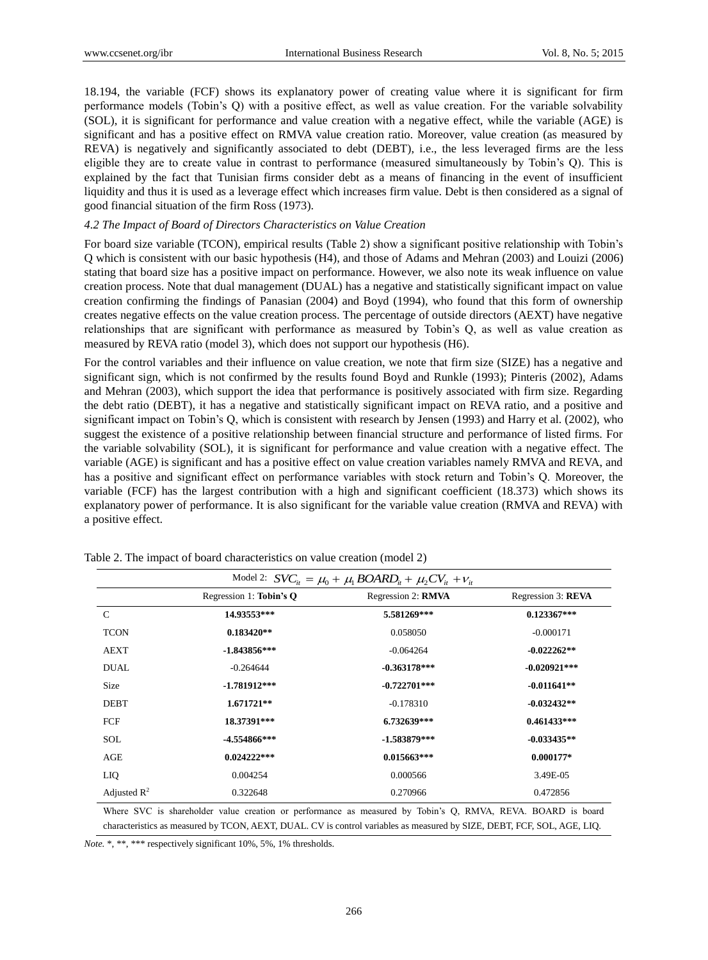18.194, the variable (FCF) shows its explanatory power of creating value where it is significant for firm performance models (Tobin's Q) with a positive effect, as well as value creation. For the variable solvability (SOL), it is significant for performance and value creation with a negative effect, while the variable (AGE) is significant and has a positive effect on RMVA value creation ratio. Moreover, value creation (as measured by REVA) is negatively and significantly associated to debt (DEBT), i.e., the less leveraged firms are the less eligible they are to create value in contrast to performance (measured simultaneously by Tobin's Q). This is explained by the fact that Tunisian firms consider debt as a means of financing in the event of insufficient liquidity and thus it is used as a leverage effect which increases firm value. Debt is then considered as a signal of good financial situation of the firm Ross (1973).

#### *4.2 The Impact of Board of Directors Characteristics on Value Creation*

For board size variable (TCON), empirical results (Table 2) show a significant positive relationship with Tobin's Q which is consistent with our basic hypothesis (H4), and those of Adams and Mehran (2003) and Louizi (2006) stating that board size has a positive impact on performance. However, we also note its weak influence on value creation process. Note that dual management (DUAL) has a negative and statistically significant impact on value creation confirming the findings of Panasian (2004) and Boyd (1994), who found that this form of ownership creates negative effects on the value creation process. The percentage of outside directors (AEXT) have negative relationships that are significant with performance as measured by Tobin's Q, as well as value creation as measured by REVA ratio (model 3), which does not support our hypothesis (H6).

For the control variables and their influence on value creation, we note that firm size (SIZE) has a negative and significant sign, which is not confirmed by the results found Boyd and Runkle (1993); Pinteris (2002), Adams and Mehran (2003), which support the idea that performance is positively associated with firm size. Regarding the debt ratio (DEBT), it has a negative and statistically significant impact on REVA ratio, and a positive and significant impact on Tobin's Q, which is consistent with research by Jensen (1993) and Harry et al. (2002), who suggest the existence of a positive relationship between financial structure and performance of listed firms. For the variable solvability (SOL), it is significant for performance and value creation with a negative effect. The variable (AGE) is significant and has a positive effect on value creation variables namely RMVA and REVA, and has a positive and significant effect on performance variables with stock return and Tobin's Q. Moreover, the variable (FCF) has the largest contribution with a high and significant coefficient (18.373) which shows its explanatory power of performance. It is also significant for the variable value creation (RMVA and REVA) with a positive effect.

| Model 2: $SVC_{it} = \mu_0 + \mu_1 BOARD_{it} + \mu_2 CV_{it} + v_{it}$ |                         |                    |                    |  |
|-------------------------------------------------------------------------|-------------------------|--------------------|--------------------|--|
|                                                                         | Regression 1: Tobin's Q | Regression 2: RMVA | Regression 3: REVA |  |
| $\mathcal{C}$                                                           | 14.93553***             | 5.581269***        | $0.123367***$      |  |
| <b>TCON</b>                                                             | $0.183420**$            | 0.058050           | $-0.000171$        |  |
| <b>AEXT</b>                                                             | $-1.843856***$          | $-0.064264$        | $-0.022262**$      |  |
| <b>DUAL</b>                                                             | $-0.264644$             | $-0.363178***$     | $-0.020921***$     |  |
| Size                                                                    | $-1.781912***$          | $-0.722701***$     | $-0.011641**$      |  |
| <b>DEBT</b>                                                             | $1.671721**$            | $-0.178310$        | $-0.032432**$      |  |
| FCF                                                                     | 18.37391***             | 6.732639***        | $0.461433***$      |  |
| <b>SOL</b>                                                              | $-4.554866***$          | $-1.583879***$     | $-0.033435**$      |  |
| AGE                                                                     | $0.024222***$           | $0.015663***$      | $0.000177*$        |  |
| LIQ.                                                                    | 0.004254                | 0.000566           | 3.49E-05           |  |
| Adjusted $R^2$                                                          | 0.322648                | 0.270966           | 0.472856           |  |

Where SVC is shareholder value creation or performance as measured by Tobin's Q, RMVA, REVA. BOARD is board characteristics as measured by TCON, AEXT, DUAL. CV is control variables as measured by SIZE, DEBT, FCF, SOL, AGE, LIQ.

*Note.* \*, \*\*, \*\*\* respectively significant 10%, 5%, 1% thresholds.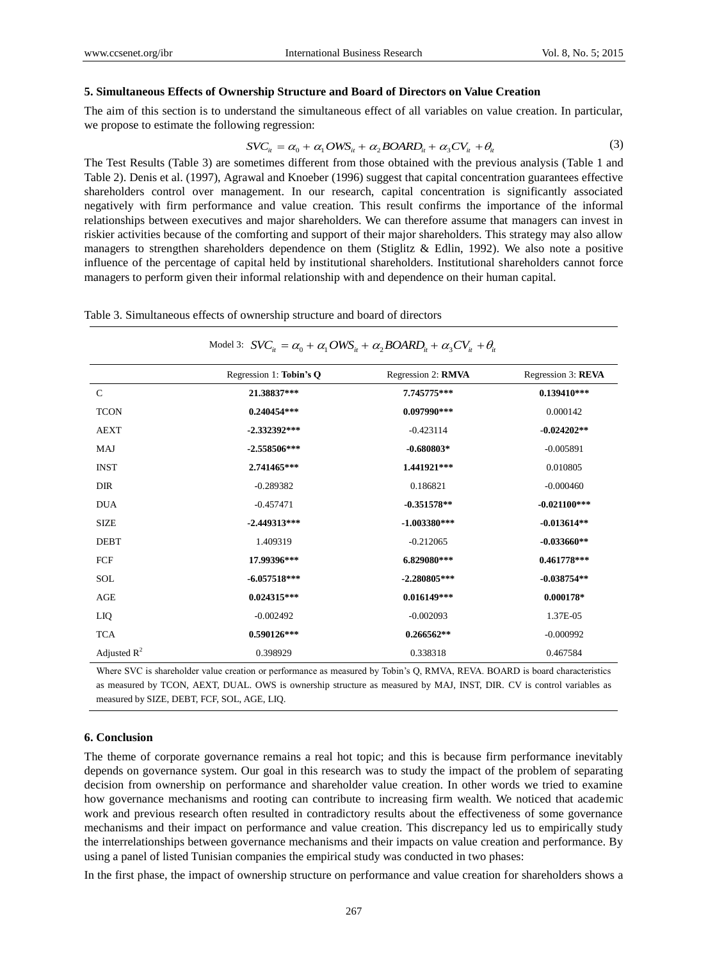#### **5. Simultaneous Effects of Ownership Structure and Board of Directors on Value Creation**

The aim of this section is to understand the simultaneous effect of all variables on value creation. In particular, we propose to estimate the following regression: *SVC<sub>it</sub>* =  $\alpha_0 + \alpha_1 OWS_{it} + \alpha_2 BOARD_{it} + \alpha_3 CV_{it} + \theta_{it}$ 

$$
SVC_{ii} = \alpha_0 + \alpha_1 OWS_{ii} + \alpha_2 BOARD_{ii} + \alpha_3 CV_{ii} + \theta_i
$$
\n(3)

The Test Results (Table 3) are sometimes different from those obtained with the previous analysis (Table 1 and Table 2). Denis et al. (1997), Agrawal and Knoeber (1996) suggest that capital concentration guarantees effective shareholders control over management. In our research, capital concentration is significantly associated negatively with firm performance and value creation. This result confirms the importance of the informal relationships between executives and major shareholders. We can therefore assume that managers can invest in riskier activities because of the comforting and support of their major shareholders. This strategy may also allow managers to strengthen shareholders dependence on them (Stiglitz & Edlin, 1992). We also note a positive influence of the percentage of capital held by institutional shareholders. Institutional shareholders cannot force managers to perform given their informal relationship with and dependence on their human capital.

Table 3. Simultaneous effects of ownership structure and board of directors

# $\alpha$  of ownership structure and board of directors<br>
Model 3:  $SVC_{ii} = \alpha_0 + \alpha_1 OWS_{ii} + \alpha_2 BOARD_{ii} + \alpha_3 CV_{ii} + \theta_{ii}$

|                         | Regression 1: Tobin's Q | Regression 2: RMVA | Regression 3: REVA |
|-------------------------|-------------------------|--------------------|--------------------|
|                         |                         |                    |                    |
| $\mathcal{C}$           | 21.38837***             | 7.745775***        | $0.139410***$      |
| <b>TCON</b>             | $0.240454***$           | $0.097990***$      | 0.000142           |
| <b>AEXT</b>             | $-2.332392***$          | $-0.423114$        | $-0.024202**$      |
| <b>MAJ</b>              | $-2.558506***$          | $-0.680803*$       | $-0.005891$        |
| <b>INST</b>             | 2.741465***             | 1.441921***        | 0.010805           |
| <b>DIR</b>              | $-0.289382$             | 0.186821           | $-0.000460$        |
| <b>DUA</b>              | $-0.457471$             | $-0.351578**$      | $-0.021100***$     |
| <b>SIZE</b>             | $-2.449313***$          | $-1.003380***$     | $-0.013614**$      |
| <b>DEBT</b>             | 1.409319                | $-0.212065$        | $-0.033660**$      |
| FCF                     | 17.99396***             | 6.829080***        | $0.461778***$      |
| <b>SOL</b>              | $-6.057518***$          | $-2.280805***$     | $-0.038754**$      |
| AGE                     | $0.024315***$           | $0.016149***$      | $0.000178*$        |
| LIQ.                    | $-0.002492$             | $-0.002093$        | 1.37E-05           |
| <b>TCA</b>              | $0.590126***$           | $0.266562**$       | $-0.000992$        |
| Adjusted $\mathbb{R}^2$ | 0.398929                | 0.338318           | 0.467584           |

Where SVC is shareholder value creation or performance as measured by Tobin's Q, RMVA, REVA. BOARD is board characteristics as measured by TCON, AEXT, DUAL. OWS is ownership structure as measured by MAJ, INST, DIR. CV is control variables as measured by SIZE, DEBT, FCF, SOL, AGE, LIQ.

#### **6. Conclusion**

The theme of corporate governance remains a real hot topic; and this is because firm performance inevitably depends on governance system. Our goal in this research was to study the impact of the problem of separating decision from ownership on performance and shareholder value creation. In other words we tried to examine how governance mechanisms and rooting can contribute to increasing firm wealth. We noticed that academic work and previous research often resulted in contradictory results about the effectiveness of some governance mechanisms and their impact on performance and value creation. This discrepancy led us to empirically study the interrelationships between governance mechanisms and their impacts on value creation and performance. By using a panel of listed Tunisian companies the empirical study was conducted in two phases:

In the first phase, the impact of ownership structure on performance and value creation for shareholders shows a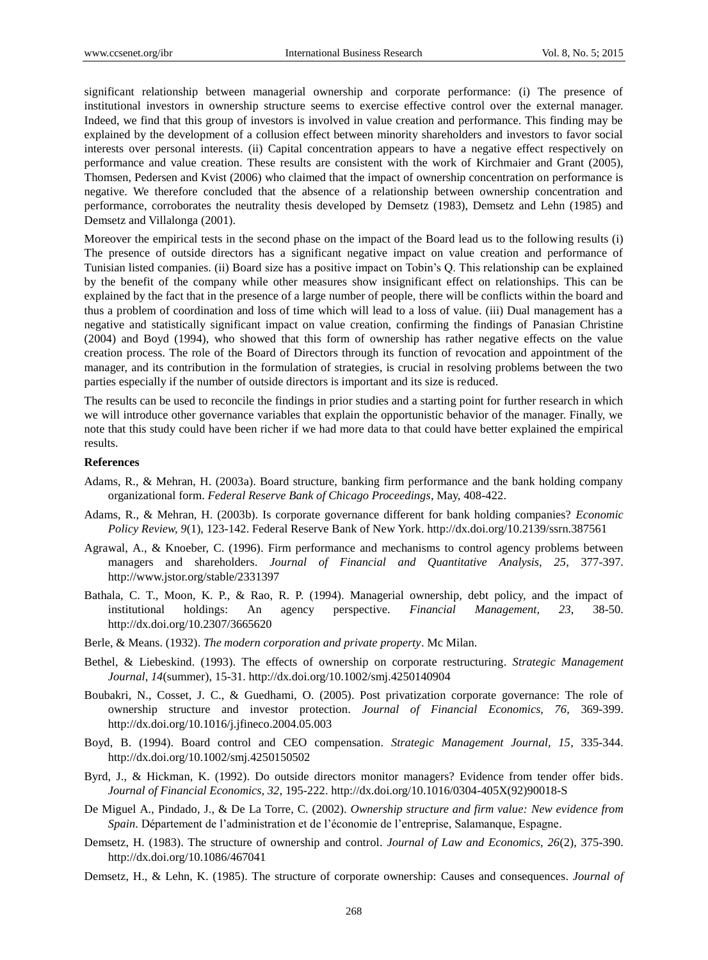significant relationship between managerial ownership and corporate performance: (i) The presence of institutional investors in ownership structure seems to exercise effective control over the external manager. Indeed, we find that this group of investors is involved in value creation and performance. This finding may be explained by the development of a collusion effect between minority shareholders and investors to favor social interests over personal interests. (ii) Capital concentration appears to have a negative effect respectively on performance and value creation. These results are consistent with the work of Kirchmaier and Grant (2005), Thomsen, Pedersen and Kvist (2006) who claimed that the impact of ownership concentration on performance is negative. We therefore concluded that the absence of a relationship between ownership concentration and performance, corroborates the neutrality thesis developed by Demsetz (1983), Demsetz and Lehn (1985) and Demsetz and Villalonga (2001).

Moreover the empirical tests in the second phase on the impact of the Board lead us to the following results (i) The presence of outside directors has a significant negative impact on value creation and performance of Tunisian listed companies. (ii) Board size has a positive impact on Tobin's Q. This relationship can be explained by the benefit of the company while other measures show insignificant effect on relationships. This can be explained by the fact that in the presence of a large number of people, there will be conflicts within the board and thus a problem of coordination and loss of time which will lead to a loss of value. (iii) Dual management has a negative and statistically significant impact on value creation, confirming the findings of Panasian Christine (2004) and Boyd (1994), who showed that this form of ownership has rather negative effects on the value creation process. The role of the Board of Directors through its function of revocation and appointment of the manager, and its contribution in the formulation of strategies, is crucial in resolving problems between the two parties especially if the number of outside directors is important and its size is reduced.

The results can be used to reconcile the findings in prior studies and a starting point for further research in which we will introduce other governance variables that explain the opportunistic behavior of the manager. Finally, we note that this study could have been richer if we had more data to that could have better explained the empirical results.

#### **References**

- Adams, R., & Mehran, H. (2003a). Board structure, banking firm performance and the bank holding company organizational form. *Federal Reserve Bank of Chicago Proceedings*, May, 408-422.
- Adams, R., & Mehran, H. (2003b). Is corporate governance different for bank holding companies? *Economic Policy Review, 9*(1), 123-142. Federal Reserve Bank of New York. http://dx.doi.org/10.2139/ssrn.387561
- Agrawal, A., & Knoeber, C. (1996). Firm performance and mechanisms to control agency problems between managers and shareholders. *Journal of Financial and Quantitative Analysis, 25*, 377-397. http://www.jstor.org/stable/2331397
- Bathala, C. T., Moon, K. P., & Rao, R. P. (1994). Managerial ownership, debt policy, and the impact of institutional holdings: An agency perspective. *Financial Management, 23*, 38-50. http://dx.doi.org/10.2307/3665620
- Berle, & Means. (1932). *The modern corporation and private property*. Mc Milan.
- Bethel, & Liebeskind. (1993). The effects of ownership on corporate restructuring. *Strategic Management Journal, 14*(summer), 15-31. http://dx.doi.org/10.1002/smj.4250140904
- Boubakri, N., Cosset, J. C., & Guedhami, O. (2005). Post privatization corporate governance: The role of ownership structure and investor protection. *Journal of Financial Economics, 76*, 369-399. http://dx.doi.org/10.1016/j.jfineco.2004.05.003
- Boyd, B. (1994). Board control and CEO compensation. *Strategic Management Journal, 15*, 335-344. http://dx.doi.org/10.1002/smj.4250150502
- Byrd, J., & Hickman, K. (1992). Do outside directors monitor managers? Evidence from tender offer bids. *Journal of Financial Economics, 32*, 195-222. http://dx.doi.org/10.1016/0304-405X(92)90018-S
- De Miguel A., Pindado, J., & De La Torre, C. (2002). *Ownership structure and firm value: New evidence from Spain*. Département de l'administration et de l'économie de l'entreprise, Salamanque, Espagne.
- Demsetz, H. (1983). The structure of ownership and control. *Journal of Law and Economics, 26*(2), 375-390. http://dx.doi.org/10.1086/467041
- Demsetz, H., & Lehn, K. (1985). The structure of corporate ownership: Causes and consequences. *Journal of*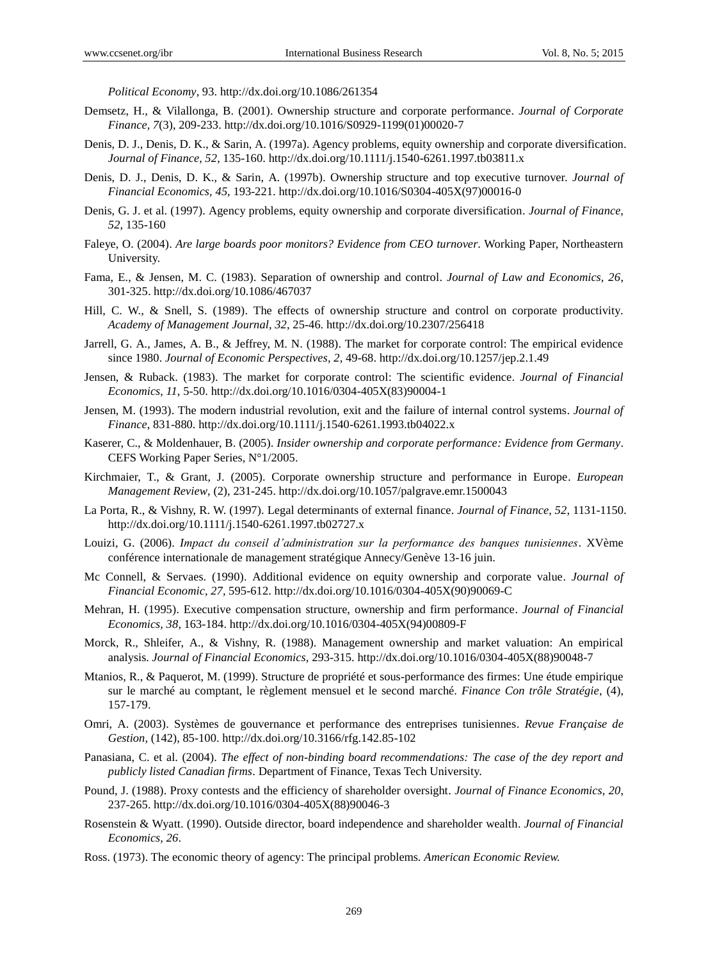*Political Economy*, 93. http://dx.doi.org/10.1086/261354

- Demsetz, H., & Vilallonga, B. (2001). Ownership structure and corporate performance. *Journal of Corporate Finance, 7*(3), 209-233. http://dx.doi.org/10.1016/S0929-1199(01)00020-7
- Denis, D. J., Denis, D. K., & Sarin, A. (1997a). Agency problems, equity ownership and corporate diversification. *Journal of Finance, 52*, 135-160. http://dx.doi.org/10.1111/j.1540-6261.1997.tb03811.x
- Denis, D. J., Denis, D. K., & Sarin, A. (1997b). Ownership structure and top executive turnover. *Journal of Financial Economics, 45*, 193-221. http://dx.doi.org/10.1016/S0304-405X(97)00016-0
- Denis, G. J. et al. (1997). Agency problems, equity ownership and corporate diversification. *Journal of Finance, 52*, 135-160
- Faleye, O. (2004). *Are large boards poor monitors? Evidence from CEO turnover*. Working Paper, Northeastern University.
- Fama, E., & Jensen, M. C. (1983). Separation of ownership and control. *Journal of Law and Economics, 26*, 301-325. http://dx.doi.org/10.1086/467037
- Hill, C. W., & Snell, S. (1989). The effects of ownership structure and control on corporate productivity. *Academy of Management Journal, 32*, 25-46. http://dx.doi.org/10.2307/256418
- Jarrell, G. A., James, A. B., & Jeffrey, M. N. (1988). The market for corporate control: The empirical evidence since 1980. *Journal of Economic Perspectives, 2*, 49-68. http://dx.doi.org/10.1257/jep.2.1.49
- Jensen, & Ruback. (1983). The market for corporate control: The scientific evidence. *Journal of Financial Economics, 11*, 5-50. http://dx.doi.org/10.1016/0304-405X(83)90004-1
- Jensen, M. (1993). The modern industrial revolution, exit and the failure of internal control systems. *Journal of Finance*, 831-880. http://dx.doi.org/10.1111/j.1540-6261.1993.tb04022.x
- Kaserer, C., & Moldenhauer, B. (2005). *Insider ownership and corporate performance: Evidence from Germany*. CEFS Working Paper Series, N°1/2005.
- Kirchmaier, T., & Grant, J. (2005). Corporate ownership structure and performance in Europe. *European Management Review*, (2), 231-245. http://dx.doi.org/10.1057/palgrave.emr.1500043
- La Porta, R., & Vishny, R. W. (1997). Legal determinants of external finance. *Journal of Finance, 52*, 1131-1150. http://dx.doi.org/10.1111/j.1540-6261.1997.tb02727.x
- Louizi, G. (2006). *Impact du conseil d'administration sur la performance des banques tunisiennes*. XVème conférence internationale de management stratégique Annecy/Genève 13-16 juin.
- Mc Connell, & Servaes. (1990). Additional evidence on equity ownership and corporate value. *Journal of Financial Economic, 27,* 595-612. http://dx.doi.org/10.1016/0304-405X(90)90069-C
- Mehran, H. (1995). Executive compensation structure, ownership and firm performance. *Journal of Financial Economics, 38*, 163-184. http://dx.doi.org/10.1016/0304-405X(94)00809-F
- Morck, R., Shleifer, A., & Vishny, R. (1988). Management ownership and market valuation: An empirical analysis. *Journal of Financial Economics*, 293-315. http://dx.doi.org/10.1016/0304-405X(88)90048-7
- Mtanios, R., & Paquerot, M. (1999). Structure de propriétéet sous-performance des firmes: Une étude empirique sur le marché au comptant, le règlement mensuel et le second marché. *Finance Con trôle Stratégie*, (4), 157-179.
- Omri, A. (2003). Systèmes de gouvernance et performance des entreprises tunisiennes. *Revue Française de Gestion,* (142), 85-100. http://dx.doi.org/10.3166/rfg.142.85-102
- Panasiana, C. et al. (2004). *The effect of non-binding board recommendations: The case of the dey report and publicly listed Canadian firms*. Department of Finance, Texas Tech University.
- Pound, J. (1988). Proxy contests and the efficiency of shareholder oversight. *Journal of Finance Economics, 20*, 237-265. http://dx.doi.org/10.1016/0304-405X(88)90046-3
- Rosenstein & Wyatt. (1990). Outside director, board independence and shareholder wealth. *Journal of Financial Economics, 26*.
- Ross. (1973). The economic theory of agency: The principal problems. *American Economic Review.*